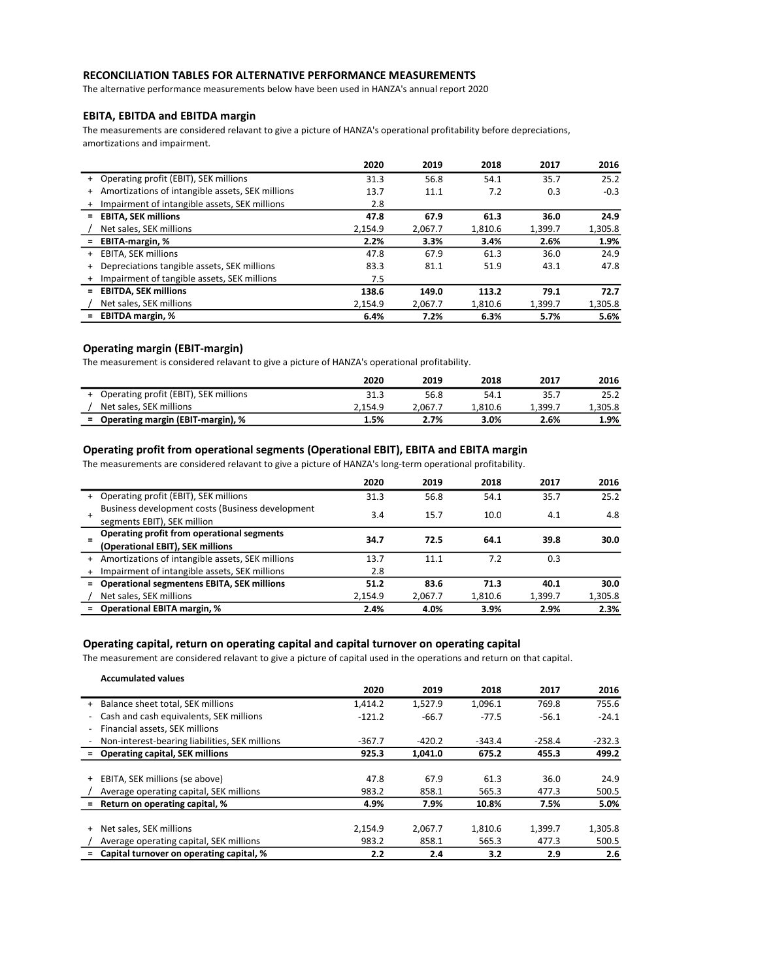### RECONCILIATION TABLES FOR ALTERNATIVE PERFORMANCE MEASUREMENTS

The alternative performance measurements below have been used in HANZA's annual report 2020

# EBITA, EBITDA and EBITDA margin

The measurements are considered relavant to give a picture of HANZA's operational profitability before depreciations, amortizations and impairment.

|                                                            | 2020    | 2019    | 2018    | 2017    | 2016    |
|------------------------------------------------------------|---------|---------|---------|---------|---------|
| + Operating profit (EBIT), SEK millions                    | 31.3    | 56.8    | 54.1    | 35.7    | 25.2    |
| Amortizations of intangible assets, SEK millions<br>$^{+}$ | 13.7    | 11.1    | 7.2     | 0.3     | $-0.3$  |
| Impairment of intangible assets, SEK millions<br>$+$       | 2.8     |         |         |         |         |
| <b>EBITA, SEK millions</b><br>$=$                          | 47.8    | 67.9    | 61.3    | 36.0    | 24.9    |
| Net sales, SEK millions                                    | 2.154.9 | 2.067.7 | 1,810.6 | 1,399.7 | 1,305.8 |
| <b>EBITA-margin, %</b><br>Ξ.                               | 2.2%    | 3.3%    | 3.4%    | 2.6%    | 1.9%    |
| <b>EBITA, SEK millions</b><br>$+$                          | 47.8    | 67.9    | 61.3    | 36.0    | 24.9    |
| Depreciations tangible assets, SEK millions<br>$+$         | 83.3    | 81.1    | 51.9    | 43.1    | 47.8    |
| Impairment of tangible assets, SEK millions<br>$^{+}$      | 7.5     |         |         |         |         |
| <b>EBITDA, SEK millions</b><br>Ξ.                          | 138.6   | 149.0   | 113.2   | 79.1    | 72.7    |
| Net sales, SEK millions                                    | 2.154.9 | 2.067.7 | 1.810.6 | 1.399.7 | 1,305.8 |
| <b>EBITDA margin, %</b>                                    | 6.4%    | 7.2%    | 6.3%    | 5.7%    | 5.6%    |

### Operating margin (EBIT-margin)

The measurement is considered relavant to give a picture of HANZA's operational profitability.

|                                         | 2020    | 2019    | 2018    | 2017    | 2016    |
|-----------------------------------------|---------|---------|---------|---------|---------|
| + Operating profit (EBIT), SEK millions | 31.3    | 56.8    | 54.1    | 35.7    | 25.2    |
| Net sales, SEK millions                 | 2.154.9 | 2.067.7 | 1.810.6 | 1.399.7 | 1,305.8 |
| = Operating margin (EBIT-margin), %     | 1.5%    | 2.7%    | 3.0%    | 2.6%    | 1.9%    |

## Operating profit from operational segments (Operational EBIT), EBITA and EBITA margin

The measurements are considered relavant to give a picture of HANZA's long-term operational profitability.

|     |                                                   | 2020    | 2019    | 2018    | 2017    | 2016    |
|-----|---------------------------------------------------|---------|---------|---------|---------|---------|
| $+$ | Operating profit (EBIT), SEK millions             | 31.3    | 56.8    | 54.1    | 35.7    | 25.2    |
|     | Business development costs (Business development  | 3.4     | 15.7    | 10.0    | 4.1     | 4.8     |
|     | segments EBIT), SEK million                       |         |         |         |         |         |
|     | Operating profit from operational segments        | 34.7    | 72.5    | 64.1    | 39.8    | 30.0    |
|     | (Operational EBIT), SEK millions                  |         |         |         |         |         |
| $+$ | Amortizations of intangible assets, SEK millions  | 13.7    | 11.1    | 7.2     | 0.3     |         |
|     | Impairment of intangible assets, SEK millions     | 2.8     |         |         |         |         |
| $=$ | <b>Operational segmentens EBITA, SEK millions</b> | 51.2    | 83.6    | 71.3    | 40.1    | 30.0    |
|     | Net sales, SEK millions                           | 2.154.9 | 2.067.7 | 1.810.6 | 1.399.7 | 1,305.8 |
| $=$ | <b>Operational EBITA margin, %</b>                | 2.4%    | 4.0%    | 3.9%    | 2.9%    | 2.3%    |

### Operating capital, return on operating capital and capital turnover on operating capital

The measurement are considered relavant to give a picture of capital used in the operations and return on that capital.

| <b>Accumulated values</b>                                           |          |          |          |          |          |
|---------------------------------------------------------------------|----------|----------|----------|----------|----------|
|                                                                     | 2020     | 2019     | 2018     | 2017     | 2016     |
| Balance sheet total, SEK millions<br>$^+$                           | 1.414.2  | 1.527.9  | 1.096.1  | 769.8    | 755.6    |
| Cash and cash equivalents, SEK millions<br>$\overline{\phantom{a}}$ | $-121.2$ | $-66.7$  | $-77.5$  | $-56.1$  | $-24.1$  |
| Financial assets, SEK millions<br>$\overline{\phantom{a}}$          |          |          |          |          |          |
| Non-interest-bearing liabilities, SEK millions                      | $-367.7$ | $-420.2$ | $-343.4$ | $-258.4$ | $-232.3$ |
| <b>Operating capital, SEK millions</b>                              | 925.3    | 1,041.0  | 675.2    | 455.3    | 499.2    |
|                                                                     |          |          |          |          |          |
| EBITA, SEK millions (se above)<br>$+$                               | 47.8     | 67.9     | 61.3     | 36.0     | 24.9     |
| Average operating capital, SEK millions                             | 983.2    | 858.1    | 565.3    | 477.3    | 500.5    |
| Return on operating capital, %                                      | 4.9%     | 7.9%     | 10.8%    | 7.5%     | 5.0%     |
|                                                                     |          |          |          |          |          |
| Net sales, SEK millions<br>+                                        | 2.154.9  | 2.067.7  | 1.810.6  | 1.399.7  | 1,305.8  |
| Average operating capital, SEK millions                             | 983.2    | 858.1    | 565.3    | 477.3    | 500.5    |
| Capital turnover on operating capital, %<br>Ξ.                      | 2.2      | 2.4      | 3.2      | 2.9      | 2.6      |